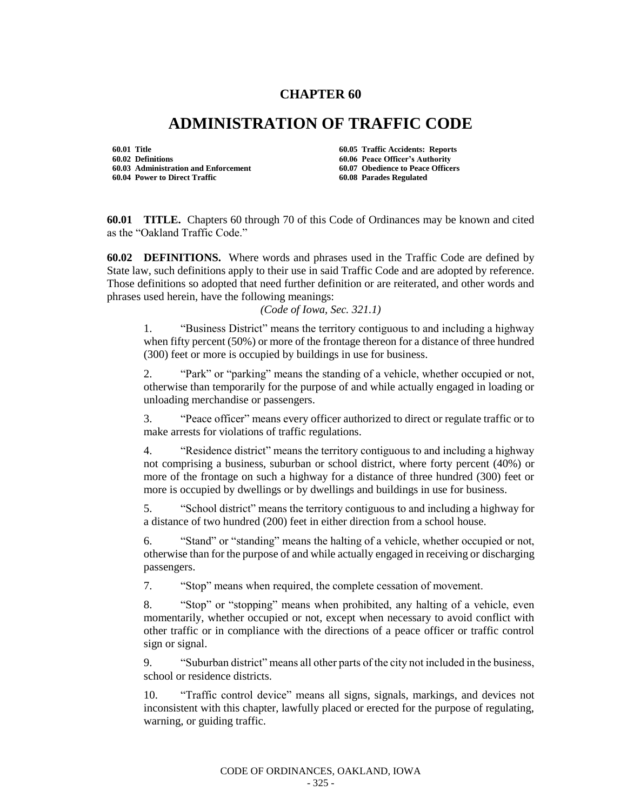## **CHAPTER 60**

## **ADMINISTRATION OF TRAFFIC CODE**

**60.01 Title 60.05 Traffic Accidents: Reports 60.02 Definitions 60.06 Peace Officer's Authority 60.03 Administration and Enforcement 60.04 Power to Direct Traffic 60.08 Parades Regulated** 

**60.01 TITLE.** Chapters 60 through 70 of this Code of Ordinances may be known and cited as the "Oakland Traffic Code."

**60.02 DEFINITIONS.** Where words and phrases used in the Traffic Code are defined by State law, such definitions apply to their use in said Traffic Code and are adopted by reference. Those definitions so adopted that need further definition or are reiterated, and other words and phrases used herein, have the following meanings:

*(Code of Iowa, Sec. 321.1)*

1. "Business District" means the territory contiguous to and including a highway when fifty percent (50%) or more of the frontage thereon for a distance of three hundred (300) feet or more is occupied by buildings in use for business.

2. "Park" or "parking" means the standing of a vehicle, whether occupied or not, otherwise than temporarily for the purpose of and while actually engaged in loading or unloading merchandise or passengers.

3. "Peace officer" means every officer authorized to direct or regulate traffic or to make arrests for violations of traffic regulations.

4. "Residence district" means the territory contiguous to and including a highway not comprising a business, suburban or school district, where forty percent (40%) or more of the frontage on such a highway for a distance of three hundred (300) feet or more is occupied by dwellings or by dwellings and buildings in use for business.

5. "School district" means the territory contiguous to and including a highway for a distance of two hundred (200) feet in either direction from a school house.

6. "Stand" or "standing" means the halting of a vehicle, whether occupied or not, otherwise than for the purpose of and while actually engaged in receiving or discharging passengers.

7. "Stop" means when required, the complete cessation of movement.

8. "Stop" or "stopping" means when prohibited, any halting of a vehicle, even momentarily, whether occupied or not, except when necessary to avoid conflict with other traffic or in compliance with the directions of a peace officer or traffic control sign or signal.

9. "Suburban district" means all other parts of the city not included in the business, school or residence districts.

10. "Traffic control device" means all signs, signals, markings, and devices not inconsistent with this chapter, lawfully placed or erected for the purpose of regulating, warning, or guiding traffic.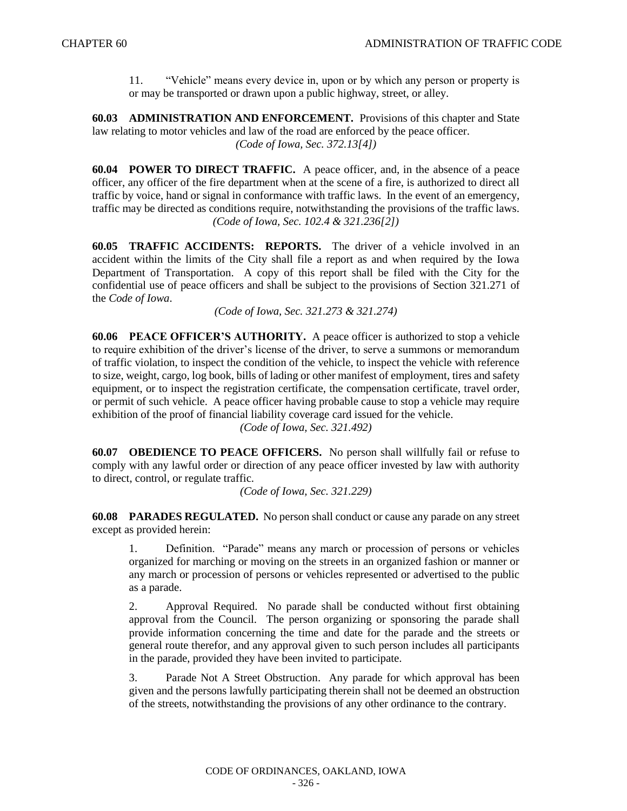11. "Vehicle" means every device in, upon or by which any person or property is or may be transported or drawn upon a public highway, street, or alley.

**60.03 ADMINISTRATION AND ENFORCEMENT.** Provisions of this chapter and State law relating to motor vehicles and law of the road are enforced by the peace officer. *(Code of Iowa, Sec. 372.13[4])*

**60.04 POWER TO DIRECT TRAFFIC.** A peace officer, and, in the absence of a peace officer, any officer of the fire department when at the scene of a fire, is authorized to direct all traffic by voice, hand or signal in conformance with traffic laws. In the event of an emergency, traffic may be directed as conditions require, notwithstanding the provisions of the traffic laws. *(Code of Iowa, Sec. 102.4 & 321.236[2])*

**60.05 TRAFFIC ACCIDENTS: REPORTS.** The driver of a vehicle involved in an accident within the limits of the City shall file a report as and when required by the Iowa Department of Transportation. A copy of this report shall be filed with the City for the confidential use of peace officers and shall be subject to the provisions of Section 321.271 of the *Code of Iowa*.

*(Code of Iowa, Sec. 321.273 & 321.274)*

**60.06 PEACE OFFICER'S AUTHORITY.** A peace officer is authorized to stop a vehicle to require exhibition of the driver's license of the driver, to serve a summons or memorandum of traffic violation, to inspect the condition of the vehicle, to inspect the vehicle with reference to size, weight, cargo, log book, bills of lading or other manifest of employment, tires and safety equipment, or to inspect the registration certificate, the compensation certificate, travel order, or permit of such vehicle. A peace officer having probable cause to stop a vehicle may require exhibition of the proof of financial liability coverage card issued for the vehicle.

*(Code of Iowa, Sec. 321.492)*

**60.07 OBEDIENCE TO PEACE OFFICERS.** No person shall willfully fail or refuse to comply with any lawful order or direction of any peace officer invested by law with authority to direct, control, or regulate traffic.

*(Code of Iowa, Sec. 321.229)*

**60.08 PARADES REGULATED.** No person shall conduct or cause any parade on any street except as provided herein:

1. Definition. "Parade" means any march or procession of persons or vehicles organized for marching or moving on the streets in an organized fashion or manner or any march or procession of persons or vehicles represented or advertised to the public as a parade.

2. Approval Required. No parade shall be conducted without first obtaining approval from the Council. The person organizing or sponsoring the parade shall provide information concerning the time and date for the parade and the streets or general route therefor, and any approval given to such person includes all participants in the parade, provided they have been invited to participate.

3. Parade Not A Street Obstruction. Any parade for which approval has been given and the persons lawfully participating therein shall not be deemed an obstruction of the streets, notwithstanding the provisions of any other ordinance to the contrary.